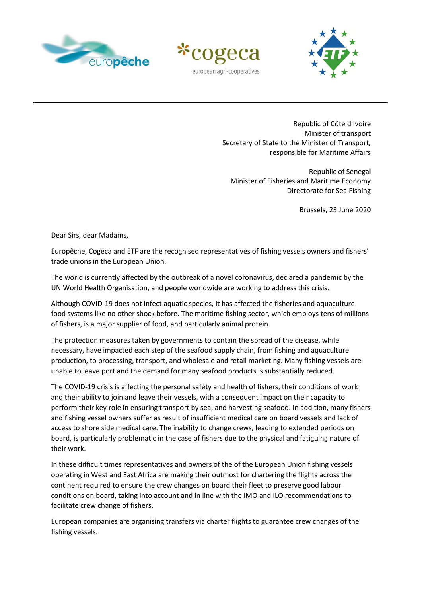





Republic of Côte d'Ivoire Minister of transport Secretary of State to the Minister of Transport, responsible for Maritime Affairs

Republic of Senegal Minister of Fisheries and Maritime Economy Directorate for Sea Fishing

Brussels, 23 June 2020

Dear Sirs, dear Madams,

Europêche, Cogeca and ETF are the recognised representatives of fishing vessels owners and fishers' trade unions in the European Union.

The world is currently affected by the outbreak of a novel coronavirus, declared a pandemic by the UN World Health Organisation, and people worldwide are working to address this crisis.

Although COVID-19 does not infect aquatic species, it has affected the fisheries and aquaculture food systems like no other shock before. The maritime fishing sector, which employs tens of millions of fishers, is a major supplier of food, and particularly animal protein.

The protection measures taken by governments to contain the spread of the disease, while necessary, have impacted each step of the seafood supply chain, from fishing and aquaculture production, to processing, transport, and wholesale and retail marketing. Many fishing vessels are unable to leave port and the demand for many seafood products is substantially reduced.

The COVID-19 crisis is affecting the personal safety and health of fishers, their conditions of work and their ability to join and leave their vessels, with a consequent impact on their capacity to perform their key role in ensuring transport by sea, and harvesting seafood. In addition, many fishers and fishing vessel owners suffer as result of insufficient medical care on board vessels and lack of access to shore side medical care. The inability to change crews, leading to extended periods on board, is particularly problematic in the case of fishers due to the physical and fatiguing nature of their work.

In these difficult times representatives and owners of the of the European Union fishing vessels operating in West and East Africa are making their outmost for chartering the flights across the continent required to ensure the crew changes on board their fleet to preserve good labour conditions on board, taking into account and in line with the IMO and ILO recommendations to facilitate crew change of fishers.

European companies are organising transfers via charter flights to guarantee crew changes of the fishing vessels.